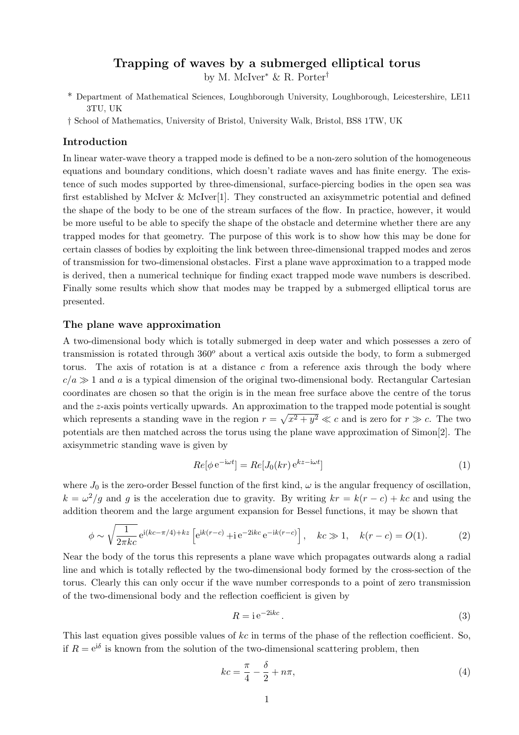# **Trapping of waves by a submerged elliptical torus**

by M. McIver<sup>∗</sup> & R. Porter†

- \* Department of Mathematical Sciences, Loughborough University, Loughborough, Leicestershire, LE11 3TU, UK
- † School of Mathematics, University of Bristol, University Walk, Bristol, BS8 1TW, UK

## **Introduction**

In linear water-wave theory a trapped mode is defined to be a non-zero solution of the homogeneous equations and boundary conditions, which doesn't radiate waves and has finite energy. The existence of such modes supported by three-dimensional, surface-piercing bodies in the open sea was first established by McIver  $\&$  McIver<sup>[1]</sup>. They constructed an axisymmetric potential and defined the shape of the body to be one of the stream surfaces of the flow. In practice, however, it would be more useful to be able to specify the shape of the obstacle and determine whether there are any trapped modes for that geometry. The purpose of this work is to show how this may be done for certain classes of bodies by exploiting the link between three-dimensional trapped modes and zeros of transmission for two-dimensional obstacles. First a plane wave approximation to a trapped mode is derived, then a numerical technique for finding exact trapped mode wave numbers is described. Finally some results which show that modes may be trapped by a submerged elliptical torus are presented.

#### **The plane wave approximation**

A two-dimensional body which is totally submerged in deep water and which possesses a zero of transmission is rotated through  $360^o$  about a vertical axis outside the body, to form a submerged torus. The axis of rotation is at a distance *c* from a reference axis through the body where  $c/a \gg 1$  and *a* is a typical dimension of the original two-dimensional body. Rectangular Cartesian coordinates are chosen so that the origin is in the mean free surface above the centre of the torus and the *z*-axis points vertically upwards. An approximation to the trapped mode potential is sought which represents a standing wave in the region  $r = \sqrt{x^2 + y^2} \ll c$  and is zero for  $r \gg c$ . The two potentials are then matched across the torus using the plane wave approximation of Simon[2]. The axisymmetric standing wave is given by

$$
Re[\phi \,\mathrm{e}^{-\mathrm{i}\omega t}] = Re[J_0(kr) \,\mathrm{e}^{kz - \mathrm{i}\omega t}] \tag{1}
$$

where  $J_0$  is the zero-order Bessel function of the first kind,  $\omega$  is the angular frequency of oscillation,  $k = \omega^2/g$  and *g* is the acceleration due to gravity. By writing  $kr = k(r - c) + kc$  and using the addition theorem and the large argument expansion for Bessel functions, it may be shown that

$$
\phi \sim \sqrt{\frac{1}{2\pi kc}} e^{i(kc - \pi/4) + kz} \left[ e^{ik(r - c)} + i e^{-2ikc} e^{-ik(r - c)} \right], \quad kc \gg 1, \quad k(r - c) = O(1). \tag{2}
$$

Near the body of the torus this represents a plane wave which propagates outwards along a radial line and which is totally reflected by the two-dimensional body formed by the cross-section of the torus. Clearly this can only occur if the wave number corresponds to a point of zero transmission of the two-dimensional body and the reflection coefficient is given by

$$
R = i e^{-2ikc}.
$$
 (3)

This last equation gives possible values of *kc* in terms of the phase of the reflection coefficient. So, if  $R = e^{i\delta}$  is known from the solution of the two-dimensional scattering problem, then

$$
kc = \frac{\pi}{4} - \frac{\delta}{2} + n\pi,\tag{4}
$$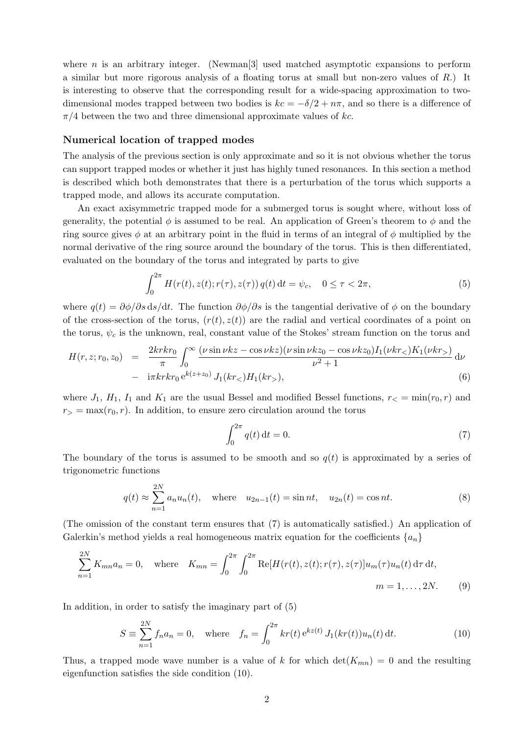where *n* is an arbitrary integer. (Newman<sup>[3]</sup> used matched asymptotic expansions to perform a similar but more rigorous analysis of a floating torus at small but non-zero values of *R*.) It is interesting to observe that the corresponding result for a wide-spacing approximation to twodimensional modes trapped between two bodies is  $kc = -\delta/2 + n\pi$ , and so there is a difference of *π/*4 between the two and three dimensional approximate values of *kc*.

### **Numerical location of trapped modes**

The analysis of the previous section is only approximate and so it is not obvious whether the torus can support trapped modes or whether it just has highly tuned resonances. In this section a method is described which both demonstrates that there is a perturbation of the torus which supports a trapped mode, and allows its accurate computation.

An exact axisymmetric trapped mode for a submerged torus is sought where, without loss of generality, the potential  $\phi$  is assumed to be real. An application of Green's theorem to  $\phi$  and the ring source gives  $\phi$  at an arbitrary point in the fluid in terms of an integral of  $\phi$  multiplied by the normal derivative of the ring source around the boundary of the torus. This is then differentiated, evaluated on the boundary of the torus and integrated by parts to give

$$
\int_0^{2\pi} H(r(t), z(t); r(\tau), z(\tau)) q(t) dt = \psi_c, \quad 0 \le \tau < 2\pi,
$$
\n(5)

where  $q(t) = \partial \phi / \partial s \, ds / dt$ . The function  $\partial \phi / \partial s$  is the tangential derivative of  $\phi$  on the boundary of the cross-section of the torus,  $(r(t), z(t))$  are the radial and vertical coordinates of a point on the torus,  $\psi_c$  is the unknown, real, constant value of the Stokes' stream function on the torus and

$$
H(r, z; r_0, z_0) = \frac{2krkr_0}{\pi} \int_0^\infty \frac{(\nu \sin \nu kz - \cos \nu kz)(\nu \sin \nu kz_0 - \cos \nu kz_0) I_1(\nu kr_<) K_1(\nu kr_<) d\nu
$$
  
-  $\frac{1}{2} \pi krkr_0 e^{k(z+z_0)} J_1(kr_<) H_1(kr_<),$  (6)

where  $J_1$ ,  $H_1$ ,  $I_1$  and  $K_1$  are the usual Bessel and modified Bessel functions,  $r<sub>lt</sub> = min(r<sub>0</sub>, r)$  and  $r_{>} = \max(r_0, r)$ . In addition, to ensure zero circulation around the torus

$$
\int_0^{2\pi} q(t) \, \mathrm{d}t = 0. \tag{7}
$$

The boundary of the torus is assumed to be smooth and so  $q(t)$  is approximated by a series of trigonometric functions

$$
q(t) \approx \sum_{n=1}^{2N} a_n u_n(t)
$$
, where  $u_{2n-1}(t) = \sin nt$ ,  $u_{2n}(t) = \cos nt$ . (8)

(The omission of the constant term ensures that (7) is automatically satisfied.) An application of Galerkin's method yields a real homogeneous matrix equation for the coefficients  $\{a_n\}$ 

$$
\sum_{n=1}^{2N} K_{mn} a_n = 0, \quad \text{where} \quad K_{mn} = \int_0^{2\pi} \int_0^{2\pi} \text{Re}[H(r(t), z(t); r(\tau), z(\tau)] u_m(\tau) u_n(t) \, \text{d}\tau \, \text{d}t, \qquad m = 1, \dots, 2N. \tag{9}
$$

In addition, in order to satisfy the imaginary part of (5)

$$
S \equiv \sum_{n=1}^{2N} f_n a_n = 0, \quad \text{where} \quad f_n = \int_0^{2\pi} kr(t) e^{kz(t)} J_1(kr(t)) u_n(t) dt.
$$
 (10)

Thus, a trapped mode wave number is a value of k for which  $\det(K_{mn}) = 0$  and the resulting eigenfunction satisfies the side condition (10).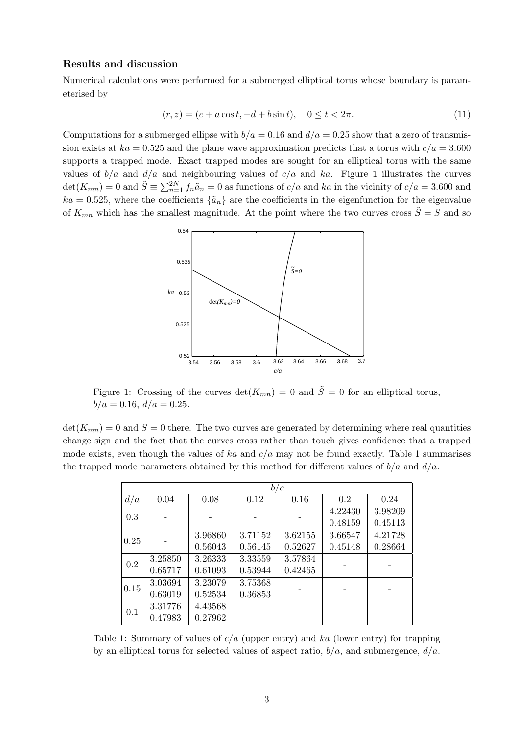## **Results and discussion**

Numerical calculations were performed for a submerged elliptical torus whose boundary is parameterised by

$$
(r, z) = (c + a \cos t, -d + b \sin t), \quad 0 \le t < 2\pi.
$$
 (11)

Computations for a submerged ellipse with  $b/a = 0.16$  and  $d/a = 0.25$  show that a zero of transmission exists at  $ka = 0.525$  and the plane wave approximation predicts that a torus with  $c/a = 3.600$ supports a trapped mode. Exact trapped modes are sought for an elliptical torus with the same values of  $b/a$  and  $d/a$  and neighbouring values of  $c/a$  and  $ka$ . Figure 1 illustrates the curves  $\det(K_{mn}) = 0$  and  $\tilde{S} \equiv \sum_{n=1}^{2N} f_n \tilde{a}_n = 0$  as functions of  $c/a$  and ka in the vicinity of  $c/a = 3.600$  and  $ka = 0.525$ , where the coefficients  $\{\tilde{a}_n\}$  are the coefficients in the eigenfunction for the eigenvalue of  $K_{mn}$  which has the smallest magnitude. At the point where the two curves cross  $\tilde{S} = S$  and so



Figure 1: Crossing of the curves  $\det(K_{mn}) = 0$  and  $\tilde{S} = 0$  for an elliptical torus,  $b/a = 0.16, d/a = 0.25.$ 

 $\det(K_{mn}) = 0$  and  $S = 0$  there. The two curves are generated by determining where real quantities change sign and the fact that the curves cross rather than touch gives confidence that a trapped mode exists, even though the values of *ka* and *c/a* may not be found exactly. Table 1 summarises the trapped mode parameters obtained by this method for different values of *b/a* and *d/a*.

|      | b/a     |         |         |         |         |         |
|------|---------|---------|---------|---------|---------|---------|
| d/a  | 0.04    | 0.08    | 0.12    | 0.16    | 0.2     | 0.24    |
| 0.3  |         |         |         |         | 4.22430 | 3.98209 |
|      |         |         |         |         | 0.48159 | 0.45113 |
| 0.25 |         | 3.96860 | 3.71152 | 3.62155 | 3.66547 | 4.21728 |
|      |         | 0.56043 | 0.56145 | 0.52627 | 0.45148 | 0.28664 |
| 0.2  | 3.25850 | 3.26333 | 3.33559 | 3.57864 |         |         |
|      | 0.65717 | 0.61093 | 0.53944 | 0.42465 |         |         |
| 0.15 | 3.03694 | 3.23079 | 3.75368 |         |         |         |
|      | 0.63019 | 0.52534 | 0.36853 |         |         |         |
| 0.1  | 3.31776 | 4.43568 |         |         |         |         |
|      | 0.47983 | 0.27962 |         |         |         |         |

Table 1: Summary of values of *c/a* (upper entry) and *ka* (lower entry) for trapping by an elliptical torus for selected values of aspect ratio, *b/a*, and submergence, *d/a*.